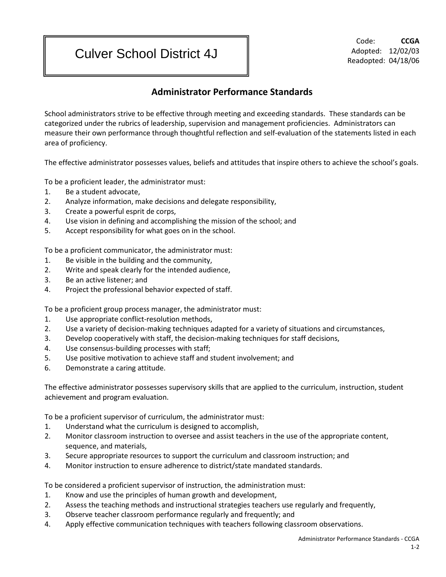## Culver School District 4J

Code: **CCGA** Adopted: 12/02/03 Readopted: 04/18/06

## **Administrator Performance Standards**

School administrators strive to be effective through meeting and exceeding standards. These standards can be categorized under the rubrics of leadership, supervision and management proficiencies. Administrators can measure their own performance through thoughtful reflection and self-evaluation of the statements listed in each area of proficiency.

The effective administrator possesses values, beliefs and attitudes that inspire others to achieve the school's goals.

To be a proficient leader, the administrator must:

- 1. Be a student advocate,
- 2. Analyze information, make decisions and delegate responsibility,
- 3. Create a powerful esprit de corps,
- 4. Use vision in defining and accomplishing the mission of the school; and
- 5. Accept responsibility for what goes on in the school.

To be a proficient communicator, the administrator must:

- 1. Be visible in the building and the community,
- 2. Write and speak clearly for the intended audience,
- 3. Be an active listener; and
- 4. Project the professional behavior expected of staff.

To be a proficient group process manager, the administrator must:

- 1. Use appropriate conflict-resolution methods,
- 2. Use a variety of decision-making techniques adapted for a variety of situations and circumstances,
- 3. Develop cooperatively with staff, the decision-making techniques for staff decisions,
- 4. Use consensus-building processes with staff;
- 5. Use positive motivation to achieve staff and student involvement; and
- 6. Demonstrate a caring attitude.

The effective administrator possesses supervisory skills that are applied to the curriculum, instruction, student achievement and program evaluation.

To be a proficient supervisor of curriculum, the administrator must:

- 1. Understand what the curriculum is designed to accomplish,
- 2. Monitor classroom instruction to oversee and assist teachers in the use of the appropriate content, sequence, and materials,
- 3. Secure appropriate resources to support the curriculum and classroom instruction; and
- 4. Monitor instruction to ensure adherence to district/state mandated standards.

To be considered a proficient supervisor of instruction, the administration must:

- 1. Know and use the principles of human growth and development,
- 2. Assess the teaching methods and instructional strategies teachers use regularly and frequently,
- 3. Observe teacher classroom performance regularly and frequently; and
- 4. Apply effective communication techniques with teachers following classroom observations.